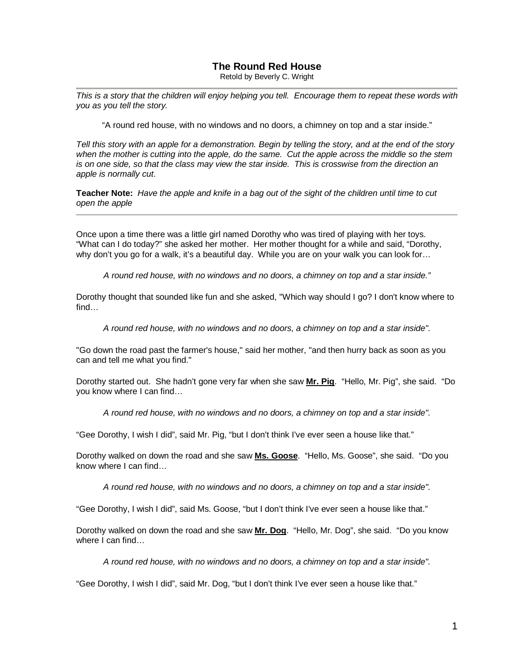## **The Round Red House**

Retold by Beverly C. Wright

*This is a story that the children will enjoy helping you tell. Encourage them to repeat these words with you as you tell the story.*

"A round red house, with no windows and no doors, a chimney on top and a star inside."

*Tell this story with an apple for a demonstration. Begin by telling the story, and at the end of the story when the mother is cutting into the apple, do the same. Cut the apple across the middle so the stem is on one side, so that the class may view the star inside. This is crosswise from the direction an apple is normally cut*.

**Teacher Note:** *Have the apple and knife in a bag out of the sight of the children until time to cut open the apple*

Once upon a time there was a little girl named Dorothy who was tired of playing with her toys. "What can I do today?" she asked her mother. Her mother thought for a while and said, "Dorothy, why don't you go for a walk, it's a beautiful day. While you are on your walk you can look for…

*A round red house, with no windows and no doors, a chimney on top and a star inside."*

Dorothy thought that sounded like fun and she asked, "Which way should I go? I don't know where to find…

*A round red house, with no windows and no doors, a chimney on top and a star inside".*

"Go down the road past the farmer's house," said her mother, "and then hurry back as soon as you can and tell me what you find."

Dorothy started out. She hadn't gone very far when she saw **Mr. Pig**. "Hello, Mr. Pig", she said. "Do you know where I can find…

*A round red house, with no windows and no doors, a chimney on top and a star inside".*

"Gee Dorothy, I wish I did", said Mr. Pig, "but I don't think I've ever seen a house like that."

Dorothy walked on down the road and she saw **Ms. Goose**. "Hello, Ms. Goose", she said. "Do you know where I can find…

*A round red house, with no windows and no doors, a chimney on top and a star inside".*

"Gee Dorothy, I wish I did", said Ms. Goose, "but I don't think I've ever seen a house like that."

Dorothy walked on down the road and she saw **Mr. Dog**. "Hello, Mr. Dog", she said. "Do you know where I can find...

*A round red house, with no windows and no doors, a chimney on top and a star inside".*

"Gee Dorothy, I wish I did", said Mr. Dog, "but I don't think I've ever seen a house like that."